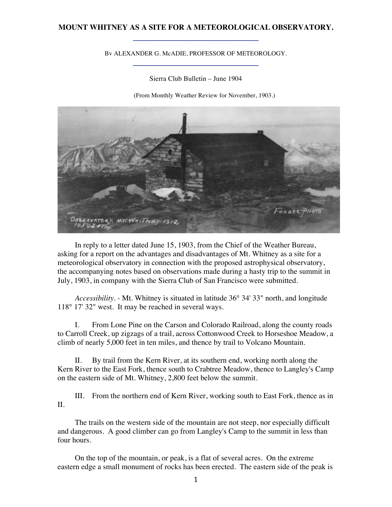# **MOUNT WHITNEY AS A SITE FOR A METEOROLOGICAL OBSERVATORY.**

### Bv ALEXANDER G. McADIE, PROFESSOR OF METEOROLOGY.

Sierra Club Bulletin – June 1904

(From Monthly Weather Review for November, 1903.)



In reply to a letter dated June 15, 1903, from the Chief of the Weather Bureau, asking for a report on the advantages and disadvantages of Mt. Whitney as a site for a meteorological observatory in connection with the proposed astrophysical observatory, the accompanying notes based on observations made during a hasty trip to the summit in July, 1903, in company with the Sierra Club of San Francisco were submitted.

*Accessibility*. - Mt. Whitney is situated in latitude 36° 34' 33" north, and longitude 118° 17' 32" west. It may be reached in several ways.

I. From Lone Pine on the Carson and Colorado Railroad, along the county roads to Carroll Creek, up zigzags of a trail, across Cottonwood Creek to Horseshoe Meadow, a climb of nearly 5,000 feet in ten miles, and thence by trail to Volcano Mountain.

II. By trail from the Kern River, at its southern end, working north along the Kern River to the East Fork, thence south to Crabtree Meadow, thence to Langley's Camp on the eastern side of Mt. Whitney, 2,800 feet below the summit.

III. From the northern end of Kern River, working south to East Fork, thence as in II.

The trails on the western side of the mountain are not steep, nor especially difficult and dangerous. A good climber can go from Langley's Camp to the summit in less than four hours.

On the top of the mountain, or peak, is a flat of several acres. On the extreme eastern edge a small monument of rocks has been erected. The eastern side of the peak is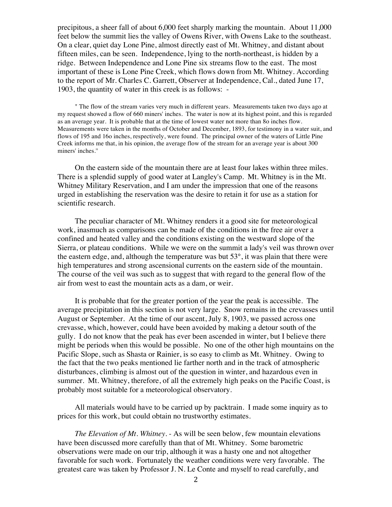precipitous, a sheer fall of about 6,000 feet sharply marking the mountain. About 11,000 feet below the summit lies the valley of Owens River, with Owens Lake to the southeast. On a clear, quiet day Lone Pine, almost directly east of Mt. Whitney, and distant about fifteen miles, can be seen. Independence, lying to the north-northeast, is hidden by a ridge. Between Independence and Lone Pine six streams flow to the east. The most important of these is Lone Pine Creek, which flows down from Mt. Whitney. According to the report of Mr. Charles C. Garrett, Observer at Independence, Cal., dated June 17, 1903, the quantity of water in this creek is as follows: -

" The flow of the stream varies very much in different years. Measurements taken two days ago at my request showed a flow of 660 miners' inches. The water is now at its highest point, and this is regarded as an average year. It is probable that at the time of lowest water not more than 8o inches flow. Measurements were taken in the months of October and December, 1893, for testimony in a water suit, and flows of 195 and 16o inches, respectively, were found. The principal owner of the waters of Little Pine Creek informs me that, in his opinion, the average flow of the stream for an average year is about 300 miners' inches.''

On the eastern side of the mountain there are at least four lakes within three miles. There is a splendid supply of good water at Langley's Camp. Mt. Whitney is in the Mt. Whitney Military Reservation, and I am under the impression that one of the reasons urged in establishing the reservation was the desire to retain it for use as a station for scientific research.

The peculiar character of Mt. Whitney renders it a good site for meteorological work, inasmuch as comparisons can be made of the conditions in the free air over a confined and heated valley and the conditions existing on the westward slope of the Sierra, or plateau conditions. While we were on the summit a lady's veil was thrown over the eastern edge, and, although the temperature was but 53°, it was plain that there were high temperatures and strong ascensional currents on the eastern side of the mountain. The course of the veil was such as to suggest that with regard to the general flow of the air from west to east the mountain acts as a dam, or weir.

It is probable that for the greater portion of the year the peak is accessible. The average precipitation in this section is not very large. Snow remains in the crevasses until August or September. At the time of our ascent, July 8, 1903, we passed across one crevasse, which, however, could have been avoided by making a detour south of the gully. I do not know that the peak has ever been ascended in winter, but I believe there might be periods when this would be possible. No one of the other high mountains on the Pacific Slope, such as Shasta or Rainier, is so easy to climb as Mt. Whitney. Owing to the fact that the two peaks mentioned lie farther north and in the track of atmospheric disturbances, climbing is almost out of the question in winter, and hazardous even in summer. Mt. Whitney, therefore, of all the extremely high peaks on the Pacific Coast, is probably most suitable for a meteorological observatory.

All materials would have to be carried up by packtrain. I made some inquiry as to prices for this work, but could obtain no trustworthy estimates.

*The Elevation of Mt. Whitney*. - As will be seen below, few mountain elevations have been discussed more carefully than that of Mt. Whitney. Some barometric observations were made on our trip, although it was a hasty one and not altogether favorable for such work. Fortunately the weather conditions were very favorable. The greatest care was taken by Professor J. N. Le Conte and myself to read carefully, and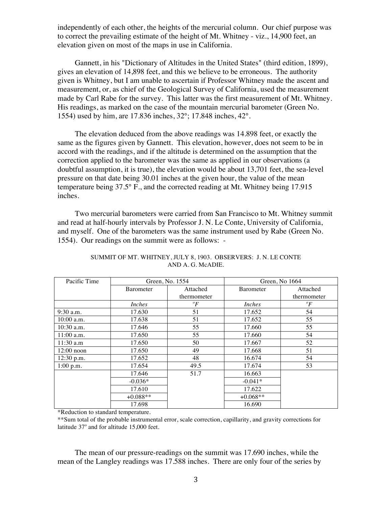independently of each other, the heights of the mercurial column. Our chief purpose was to correct the prevailing estimate of the height of Mt. Whitney - viz., 14,900 feet, an elevation given on most of the maps in use in California.

Gannett, in his "Dictionary of Altitudes in the United States" (third edition, 1899), gives an elevation of 14,898 feet, and this we believe to be erroneous. The authority given is Whitney, but I am unable to ascertain if Professor Whitney made the ascent and measurement, or, as chief of the Geological Survey of California, used the measurement made by Carl Rabe for the survey. This latter was the first measurement of Mt. Whitney. His readings, as marked on the case of the mountain mercurial barometer (Green No. 1554) used by him, are 17.836 inches, 32°; 17.848 inches, 42°.

The elevation deduced from the above readings was 14.898 feet, or exactly the same as the figures given by Gannett. This elevation, however, does not seem to be in accord with the readings, and if the altitude is determined on the assumption that the correction applied to the barometer was the same as applied in our observations (a doubtful assumption, it is true), the elevation would be about 13,701 feet, the sea-level pressure on that date being 30.01 inches at the given hour, the value of the mean temperature being 37.5° F., and the corrected reading at Mt. Whitney being 17.915 inches.

Two mercurial barometers were carried from San Francisco to Mt. Whitney summit and read at half-hourly intervals by Professor J. N. Le Conte, University of California, and myself. One of the barometers was the same instrument used by Rabe (Green No. 1554). Our readings on the summit were as follows: -

| Pacific Time | Green, No. 1554   |             | Green, No 1664   |                |
|--------------|-------------------|-------------|------------------|----------------|
|              | <b>B</b> arometer | Attached    | <b>Barometer</b> | Attached       |
|              |                   | thermometer |                  | thermometer    |
|              | Inches            | ${}^oF$     | <i>Inches</i>    | $\mathcal{O}F$ |
| $9:30$ a.m.  | 17.630            | 51          | 17.652           | 54             |
| $10:00$ a.m. | 17.638            | 51          | 17.652           | 55             |
| $10:30$ a.m. | 17.646            | 55          | 17.660           | 55             |
| $11:00$ a.m. | 17.650            | 55          | 17.660           | 54             |
| $11:30$ a.m  | 17.650            | 50          | 17.667           | 52             |
| $12:00$ noon | 17.650            | 49          | 17.668           | 51             |
| 12:30 p.m.   | 17.652            | 48          | 16.674           | 54             |
| $1:00$ p.m.  | 17.654            | 49.5        | 17.674           | 53             |
|              | 17.646            | 51.7        | 16.663           |                |
|              | $-0.036*$         |             | $-0.041*$        |                |
|              | 17.610            |             | 17.622           |                |
|              | $+0.088**$        |             | $+0.068**$       |                |
|              | 17.698            |             | 16.690           |                |

## SUMMIT OF MT. WHITNEY, JULY 8, 1903. OBSERVERS: J. N. LE CONTE AND A. G. McADIE.

\*Reduction to standard temperature.

\*\*Sum total of the probable instrumental error, scale correction, capillarity, and gravity corrections for latitude  $37^\circ$  and for altitude 15,000 feet.

The mean of our pressure-readings on the summit was 17.690 inches, while the mean of the Langley readings was 17.588 inches. There are only four of the series by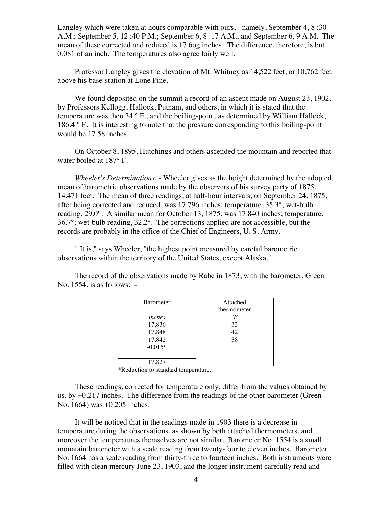Langley which were taken at hours comparable with ours, - namely, September 4, 8:30 A.M.; September 5, 12 :40 P.M.; September 6, 8 :17 A.M.; and September 6, 9 A.M. The mean of these corrected and reduced is 17.6og inches. The difference, therefore, is but 0.081 of an inch. The temperatures also agree fairly well.

Professor Langley gives the elevation of Mt. Whitney as 14,522 feet, or 10,762 feet above his base-station at Lone Pine.

We found deposited on the summit a record of an ascent made on August 23, 1902, by Professors Kellogg, Hallock, Putnam, and others, in which it is stated that the temperature was then 34 ° F., and the boiling-point, as determined by William Hallock, 186.4  $\degree$  F. It is interesting to note that the pressure corresponding to this boiling-point would be 17.58 inches.

On October 8, 1895, Hutchings and others ascended the mountain and reported that water boiled at 187° F.

*Wheeler's Determinations*. - Wheeler gives as the height determined by the adopted mean of barometric observations made by the observers of his survey party of 1875, 14,471 feet. The mean of three readings, at half-hour intervals, on September 24, 1875, after being corrected and reduced, was 17.796 inches; temperature, 35.3°; wet-bulb reading, 29.0°. A similar mean for October 13, 1875, was 17.840 inches; temperature, 36.7°; wet-bulb reading, 32.2°. The corrections applied are not accessible, but the records are probably in the office of the Chief of Engineers, U. S. Army.

" It is," says Wheeler, "the highest point measured by careful barometric observations within the territory of the United States, except Alaska."

The record of the observations made by Rabe in 1873, with the barometer, Green No. 1554, is as follows: -

| <b>Barometer</b> | Attached    |
|------------------|-------------|
|                  | thermometer |
| <i>Inches</i>    | $^oF$       |
| 17,836           | 33          |
| 17.848           | 42          |
| 17.842           | 38          |
| $-0.015*$        |             |
|                  |             |
| 17.827           |             |

\*Reduction to standard temperature.

These readings, corrected for temperature only, differ from the values obtained by us, by +0.217 inches. The difference from the readings of the other barometer (Green No. 1664) was +0.205 inches.

It will be noticed that in the readings made in 1903 there is a decrease in temperature during the observations, as shown by both attached thermometers, and moreover the temperatures themselves are not similar. Barometer No. 1554 is a small mountain barometer with a scale reading from twenty-four to eleven inches. Barometer No. 1664 has a scale reading from thirty-three to fourteen inches. Both instruments were filled with clean mercury June 23, 1903, and the longer instrument carefully read and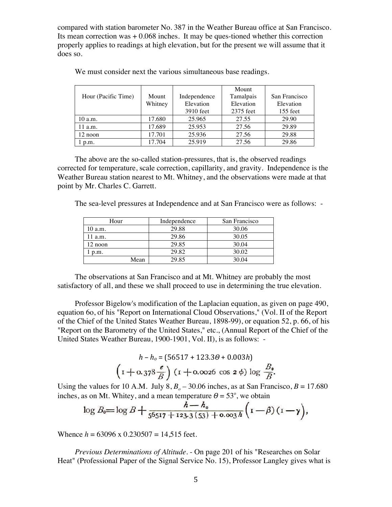compared with station barometer No. 387 in the Weather Bureau office at San Francisco. Its mean correction was  $+0.068$  inches. It may be ques-tioned whether this correction properly applies to readings at high elevation, but for the present we will assume that it does so.

|                     |         |              | Mount     |               |
|---------------------|---------|--------------|-----------|---------------|
| Hour (Pacific Time) | Mount   | Independence | Tamalpais | San Francisco |
|                     | Whitney | Elevation    | Elevation | Elevation     |
|                     |         | 3910 feet    | 2375 feet | 155 feet      |
| $10$ a.m.           | 17.680  | 25.965       | 27.55     | 29.90         |
| $11$ a.m.           | 17.689  | 25.953       | 27.56     | 29.89         |
| $12$ noon           | 17.701  | 25.936       | 27.56     | 29.88         |
| 1 p.m.              | 17.704  | 25.919       | 27.56     | 29.86         |

We must consider next the various simultaneous base readings.

The above are the so-called station-pressures, that is, the observed readings corrected for temperature, scale correction, capillarity, and gravity. Independence is the Weather Bureau station nearest to Mt. Whitney, and the observations were made at that point by Mr. Charles C. Garrett.

The sea-level pressures at Independence and at San Francisco were as follows: -

| Hour    | Independence | San Francisco |
|---------|--------------|---------------|
| 10 a.m. | 29.88        | 30.06         |
| 11 a.m. | 29.86        | 30.05         |
| 12 noon | 29.85        | 30.04         |
| p.m.    | 29.82        | 30.02         |
| Mean    | 29.85        | 30.04         |

The observations at San Francisco and at Mt. Whitney are probably the most satisfactory of all, and these we shall proceed to use in determining the true elevation.

Professor Bigelow's modification of the Laplacian equation, as given on page 490, equation 6o, of his "Report on International Cloud Observations," (Vol. II of the Report of the Chief of the United States Weather Bureau, 1898-99), or equation 52, p. 66, of his "Report on the Barometry of the United States," etc., (Annual Report of the Chief of the United States Weather Bureau, 1900-1901, Vol. II), is as follows: -

$$
h - h_o = (56517 + 123.3\theta + 0.003h)
$$

$$
\left(1 + 0.378\frac{e}{B}\right) \left(1 + 0.0026\cos 2\phi\right) \log \frac{B_0}{B}.
$$

Using the values for 10 A.M. July  $8, B_0 - 30.06$  inches, as at San Francisco,  $B = 17.680$ inches, as on Mt. Whitey, and a mean temperature  $\theta = 53^{\circ}$ , we obtain

$$
\log B_0 = \log B + \frac{h - h_0}{56517 + 123.3(53) + 0.003h} \left(1 - \beta\right) \left(1 - \gamma\right),
$$

Whence  $h = 63096 \times 0.230507 = 14,515$  feet.

*Previous Determinations of Altitude.* - On page 201 of his "Researches on Solar Heat" (Professional Paper of the Signal Service No. 15), Professor Langley gives what is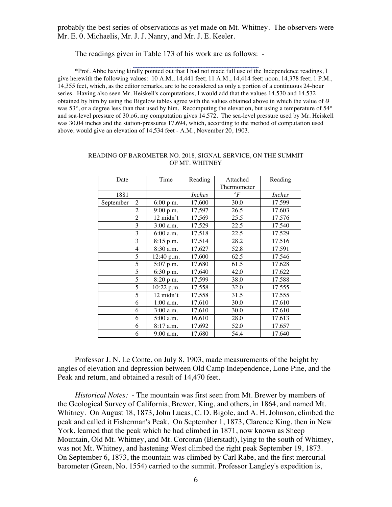probably the best series of observations as yet made on Mt. Whitney. The observers were Mr. E. 0. Michaelis, Mr. J. J. Nanry, and Mr. J. E. Keeler.

The readings given in Table 173 of his work are as follows: -

\*Prof. Abbe having kindly pointed out that I had not made full use of the Independence readings, I give herewith the following values: 10 A.M., 14,441 feet; 11 A.M., 14,414 feet; noon, 14,378 feet; 1 P.M., 14,355 feet, which, as the editor remarks, are to he considered as only a portion of a continuous 24-hour series. Having also seen Mr. Heiskell's computations, I would add that the values 14,530 and 14,532 obtained by him by using the Bigelow tables agree with the values obtained above in which the value of *%* was 53°, or a degree less than that used by him. Recomputing the elevation, but using a temperature of 54° and sea-level pressure of 30.o6, my computation gives 14,572. The sea-level pressure used by Mr. Heiskell was 30.04 inches and the station-pressures 17.694, which, according to the method of computation used above, would give an elevation of 14,534 feet - A.M., November 20, 1903.

| Date           | Time        | Reading       | Attached    | Reading       |
|----------------|-------------|---------------|-------------|---------------|
|                |             |               | Thermometer |               |
| 1881           |             | <i>Inches</i> | ${}^oF$     | <i>Inches</i> |
| September<br>2 | 6:00 p.m.   | 17.600        | 30.0        | 17.599        |
| 2              | 9:00 p.m.   | 17,597        | 26.5        | 17.603        |
| 2              | 12 midn't   | 17,569        | 25.5        | 17.576        |
| 3              | $3:00$ a.m. | 17.529        | 22.5        | 17.540        |
| 3              | $6:00$ a.m. | 17.518        | 22.5        | 17.529        |
| 3              | 8:15 p.m.   | 17.514        | 28.2        | 17.516        |
| 4              | $8:30$ a.m. | 17.627        | 52.8        | 17.591        |
| 5              | 12:40 p.m.  | 17.600        | 62.5        | 17.546        |
| 5              | 5:07 p.m.   | 17.680        | 61.5        | 17.628        |
| 5              | 6:30 p.m.   | 17.640        | 42.0        | 17.622        |
| 5              | 8:20 p.m.   | 17.599        | 38.0        | 17.588        |
| 5              | 10:22 p.m.  | 17.558        | 32.0        | 17.555        |
| 5              | 12 midn't   | 17.558        | 31.5        | 17.555        |
| 6              | $1:00$ a.m. | 17.610        | 30.0        | 17.610        |
| 6              | 3:00 a.m.   | 17.610        | 30.0        | 17.610        |
| 6              | 5:00 a.m.   | 16.610        | 28.0        | 17.613        |
| 6              | 8:17 a.m.   | 17.692        | 52.0        | 17.657        |
| 6              | $9:00$ a.m. | 17.680        | 54.4        | 17.640        |

#### READING OF BAROMETER NO. 2018, SIGNAL SERVICE, ON THE SUMMIT OF MT. WHITNEY

Professor J. N. Le Conte, on July 8, 1903, made measurements of the height by angles of elevation and depression between Old Camp Independence, Lone Pine, and the Peak and return, and obtained a result of 14,470 feet.

*Historical Notes:* - The mountain was first seen from Mt. Brewer by members of the Geological Survey of California, Brewer, King, and others, in 1864, and named Mt. Whitney. On August 18, 1873, John Lucas, C. D. Bigole, and A. H. Johnson, climbed the peak and called it Fisherman's Peak. On September 1, 1873, Clarence King, then in New York, learned that the peak which he had climbed in 1871, now known as Sheep Mountain, Old Mt. Whitney, and Mt. Corcoran (Bierstadt), lying to the south of Whitney, was not Mt. Whitney, and hastening West climbed the right peak September 19, 1873. On September 6, 1873, the mountain was climbed by Carl Rabe, and the first mercurial barometer (Green, No. 1554) carried to the summit. Professor Langley's expedition is,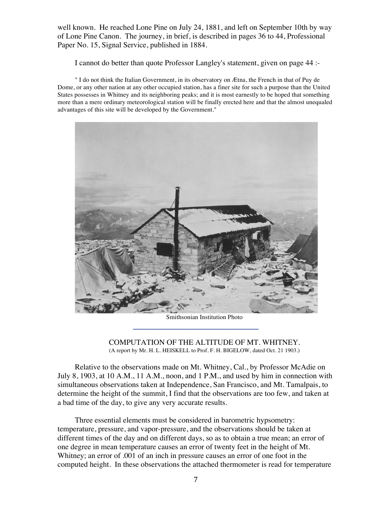well known. He reached Lone Pine on July 24, 1881, and left on September 10th by way of Lone Pine Canon. The journey, in brief, is described in pages 36 to 44, Professional Paper No. 15, Signal Service, published in 1884.

I cannot do better than quote Professor Langley's statement, given on page 44 :-

" I do not think the Italian Government, in its observatory on Ætna, the French in that of Puy de Dome, or any other nation at any other occupied station, has a finer site for such a purpose than the United States possesses in Whitney and its neighboring peaks; and it is most earnestly to be hoped that something more than a mere ordinary meteorological station will be finally erected here and that the almost unequaled advantages of this site will be developed by the Government."



Smithsonian Institution Photo

COMPUTATION OF THE ALTITUDE OF MT. WHITNEY. (A report by Mr. H. L. HEISKELL to Prof. F. H. BIGELOW, dated Oct. 21 1903.)

Relative to the observations made on Mt. Whitney, Cal., by Professor McAdie on July 8, 1903, at 10 A.M., 11 A.M., noon, and 1 P.M., and used by him in connection with simultaneous observations taken at Independence, San Francisco, and Mt. Tamalpais, to determine the height of the summit, I find that the observations are too few, and taken at a bad time of the day, to give any very accurate results.

Three essential elements must be considered in barometric hypsometry: temperature, pressure, and vapor-pressure, and the observations should be taken at different times of the day and on different days, so as to obtain a true mean; an error of one degree in mean temperature causes an error of twenty feet in the height of Mt. Whitney; an error of .001 of an inch in pressure causes an error of one foot in the computed height. In these observations the attached thermometer is read for temperature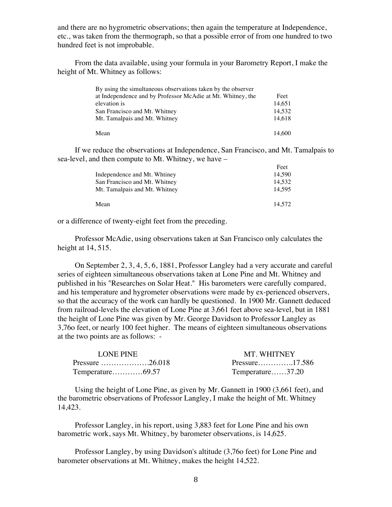and there are no hygrometric observations; then again the temperature at Independence, etc., was taken from the thermograph, so that a possible error of from one hundred to two hundred feet is not improbable.

From the data available, using your formula in your Barometry Report, I make the height of Mt. Whitney as follows:

| By using the simultaneous observations taken by the observer |        |
|--------------------------------------------------------------|--------|
| at Independence and by Professor McAdie at Mt. Whitney, the  | Feet   |
| elevation is                                                 | 14.651 |
| San Francisco and Mt. Whitney                                | 14.532 |
| Mt. Tamalpais and Mt. Whitney                                | 14.618 |
| Mean                                                         | 14.600 |

If we reduce the observations at Independence, San Francisco, and Mt. Tamalpais to sea-level, and then compute to Mt. Whitney, we have –

|                               | Feet   |
|-------------------------------|--------|
| Independence and Mt. Whtiney  | 14.590 |
| San Francisco and Mt. Whitney | 14.532 |
| Mt. Tamalpais and Mt. Whitney | 14.595 |
| Mean                          | 14.572 |

or a difference of twenty-eight feet from the preceding.

Professor McAdie, using observations taken at San Francisco only calculates the height at 14, 515.

On September 2, 3, 4, 5, 6, 1881, Professor Langley had a very accurate and careful series of eighteen simultaneous observations taken at Lone Pine and Mt. Whitney and published in his "Researches on Solar Heat." His barometers were carefully compared, and his temperature and hygrometer observations were made by ex-perienced observers, so that the accuracy of the work can hardly be questioned. In 1900 Mr. Gannett deduced from railroad-levels the elevation of Lone Pine at 3,661 feet above sea-level, but in 1881 the height of Lone Pine was given by Mr. George Davidson to Professor Langley as 3,76o feet, or nearly 100 feet higher. The means of eighteen simultaneous observations at the two points are as follows: -

| LONE PINE       | <b>MT. WHITNEY</b>  |
|-----------------|---------------------|
| Pressure 26.018 |                     |
|                 | Temperature $37.20$ |

Using the height of Lone Pine, as given by Mr. Gannett in 1900 (3,661 feet), and the barometric observations of Professor Langley, I make the height of Mt. Whitney 14,423.

Professor Langley, in his report, using 3,883 feet for Lone Pine and his own barometric work, says Mt. Whitney, by barometer observations, is 14,625.

Professor Langley, by using Davidson's altitude (3,76o feet) for Lone Pine and barometer observations at Mt. Whitney, makes the height 14,522.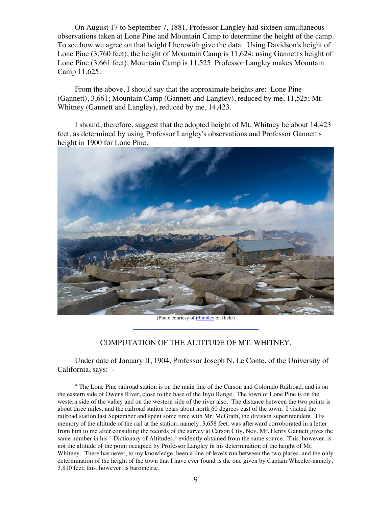On August 17 to September 7, 1881, Professor Langley had sixteen simultaneous observations taken at Lone Pine and Mountain Camp to determine the height of the camp. To see how we agree on that height I herewith give the data: Using Davidson's height of Lone Pine (3,760 feet), the height of Mountain Camp is 11,624; using Gannett's height of Lone Pine (3,661 feet), Mountain Camp is 11,525. Professor Langley makes Mountain Camp 11,625.

From the above, I should say that the approximate heights are: Lone Pine (Gannett), 3,661; Mountain Camp (Gannett and Langley), reduced by me, 11,525; Mt. Whitney (Gannett and Langley), reduced by me, 14,423.

I should, therefore, suggest that the adopted height of Mt. Whitney be about 14,423 feet, as determined by using Professor Langley's observations and Professor Gannett's height in 1900 for Lone Pine.



(Photo courtesy of **trombley** on flickr)

## COMPUTATION OF THE ALTITUDE OF MT. WHITNEY.

Under date of January II, 1904, Professor Joseph N. Le Conte, of the University of California, says: -

" The Lone Pine railroad station is on the main line of the Carson and Colorado Railroad, and is on the eastern side of Owens River, close to the base of the Inyo Range. The town of Lone Pine is on the western side of the valley and on the western side of the river also. The distance between the two points is about three miles, and the railroad station bears about north 60 degrees east of the town. I visited the railroad station last September and spent some time with Mr. McGrath, the division superintendent. His memory of the altitude of the rail at the station, namely, 3,658 feet, was afterward corroborated in a letter from him to me after consulting the records of the survey at Carson City, Nev. Mr. Henry Gannett gives the same number in his " Dictionary of Altitudes," evidently obtained from the same source. This, however, is not the altitude of the point occupied by Professor Langley in his determination of the height of Mt. Whitney. There has never, to my knowledge, been a line of levels run between the two places, and the only determination of the height of the town that I have ever found is the one given by Captain Wheeler-namely, 3,810 feet; this, however, is barometric.